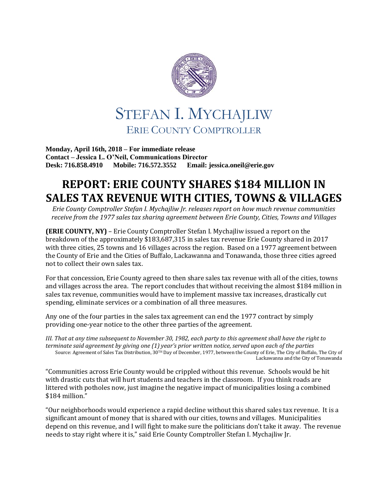

**Monday, April 16th, 2018 – For immediate release Contact – Jessica L. O'Neil, Communications Director Desk: 716.858.4910 Mobile: 716.572.3552 Email: jessica.oneil@erie.gov**

## **REPORT: ERIE COUNTY SHARES \$184 MILLION IN SALES TAX REVENUE WITH CITIES, TOWNS & VILLAGES**

*Erie County Comptroller Stefan I. Mychajliw Jr. releases report on how much revenue communities receive from the 1977 sales tax sharing agreement between Erie County, Cities, Towns and Villages*

**(ERIE COUNTY, NY)** – Erie County Comptroller Stefan I. Mychajliw issued a report on the breakdown of the approximately \$183,687,315 in sales tax revenue Erie County shared in 2017 with three cities, 25 towns and 16 villages across the region. Based on a 1977 agreement between the County of Erie and the Cities of Buffalo, Lackawanna and Tonawanda, those three cities agreed not to collect their own sales tax.

For that concession, Erie County agreed to then share sales tax revenue with all of the cities, towns and villages across the area. The report concludes that without receiving the almost \$184 million in sales tax revenue, communities would have to implement massive tax increases, drastically cut spending, eliminate services or a combination of all three measures.

Any one of the four parties in the sales tax agreement can end the 1977 contract by simply providing one-year notice to the other three parties of the agreement.

*III. That at any time subsequent to November 30, 1982, each party to this agreement shall have the right to terminate said agreement by giving one (1) year's prior written notice, served upon each of the parties* Source: Agreement of Sales Tax Distribution, 30TH Day of December, 1977, between the County of Erie, The City of Buffalo, The City of Lackawanna and the City of Tonawanda

"Communities across Erie County would be crippled without this revenue. Schools would be hit with drastic cuts that will hurt students and teachers in the classroom. If you think roads are littered with potholes now, just imagine the negative impact of municipalities losing a combined \$184 million."

"Our neighborhoods would experience a rapid decline without this shared sales tax revenue. It is a significant amount of money that is shared with our cities, towns and villages. Municipalities depend on this revenue, and I will fight to make sure the politicians don't take it away. The revenue needs to stay right where it is," said Erie County Comptroller Stefan I. Mychajliw Jr.